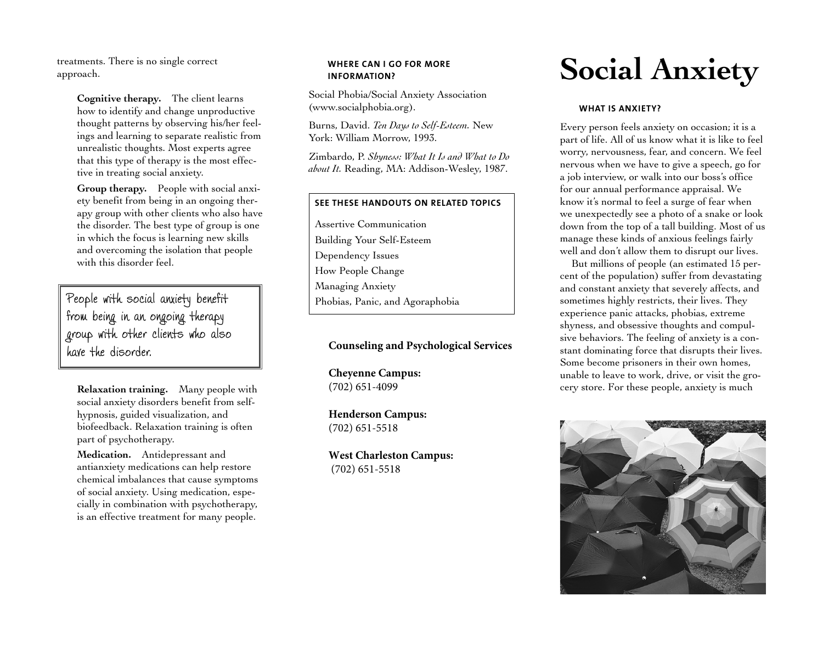treatments. There is no single correct approach.

> **Cognitive therapy.** The client learns how to identify and change unproductive thought patterns by observing his/her feelings and learning to separate realistic from unrealistic thoughts. Most experts agree that this type of therapy is the most effective in treating social anxiety.

> **Group therapy.** People with social anxiety benefit from being in an ongoing therapy group with other clients who also have the disorder. The best type of group is one in which the focus is learning new skills and overcoming the isolation that people with this disorder feel.

People with social anxiety benefit from being in an ongoing therapy group with other clients who also have the disorder.

**Relaxation training.** Many people with social anxiety disorders benefit from selfhypnosis, guided visualization, and biofeedback. Relaxation training is often part of psychotherapy.

**Medication.** Antidepressant and antianxiety medications can help restore chemical imbalances that cause symptoms of social anxiety. Using medication, especially in combination with psychotherapy, is an effective treatment for many people.

### **WHERE CAN I GO FOR MORE INFORMATION?**

Social Phobia/Social Anxiety Association (<www.socialphobia.org>).

Burns, David. *Ten Days to Self-Esteem.* New York: William Morrow, 1993.

Zimbardo, P. *Shyness: What It Is and What to Do about It.* Reading, MA: Addison-Wesley, 1987.

# **SEE THESE HANDOUTS ON RELATED TOPICS**

Assertive Communication Building Your Self-Esteem Dependency Issues How People Change Managing Anxiety Phobias, Panic, and Agoraphobia

# **Counseling and Psychological Services**

**Cheyenne Campus:** (702) 651-4099

**Henderson Campus:**  (702) 651-5518

**West Charleston Campus:** (702) 651-5518

# **Social Anxiety**

#### **WHAT IS ANXIETY?**

Every person feels anxiety on occasion; it is a part of life. All of us know what it is like to feel worry, nervousness, fear, and concern. We feel nervous when we have to give a speech, go for a job interview, or walk into our boss's office for our annual performance appraisal. We know it's normal to feel a surge of fear when we unexpectedly see a photo of a snake or look down from the top of a tall building. Most of us manage these kinds of anxious feelings fairly well and don't allow them to disrupt our lives.

But millions of people (an estimated 15 percent of the population) suffer from devastating and constant anxiety that severely affects, and sometimes highly restricts, their lives. They experience panic attacks, phobias, extreme shyness, and obsessive thoughts and compulsive behaviors. The feeling of anxiety is a constant dominating force that disrupts their lives. Some become prisoners in their own homes, unable to leave to work, drive, or visit the grocery store. For these people, anxiety is much